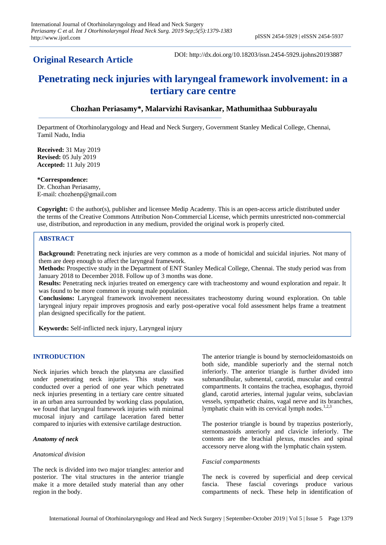## **Original Research Article**

DOI: http://dx.doi.org/10.18203/issn.2454-5929.ijohns20193887

# **Penetrating neck injuries with laryngeal framework involvement: in a tertiary care centre**

## **Chozhan Periasamy\*, Malarvizhi Ravisankar, Mathumithaa Subburayalu**

Department of Otorhinolarygology and Head and Neck Surgery, Government Stanley Medical College, Chennai, Tamil Nadu, India

**Received:** 31 May 2019 **Revised:** 05 July 2019 **Accepted:** 11 July 2019

**\*Correspondence:** Dr. Chozhan Periasamy, E-mail: chozhenp@gmail.com

**Copyright:** © the author(s), publisher and licensee Medip Academy. This is an open-access article distributed under the terms of the Creative Commons Attribution Non-Commercial License, which permits unrestricted non-commercial use, distribution, and reproduction in any medium, provided the original work is properly cited.

### **ABSTRACT**

**Background:** Penetrating neck injuries are very common as a mode of homicidal and suicidal injuries. Not many of them are deep enough to affect the laryngeal framework.

**Methods:** Prospective study in the Department of ENT Stanley Medical College, Chennai. The study period was from January 2018 to December 2018. Follow up of 3 months was done.

**Results:** Penetrating neck injuries treated on emergency care with tracheostomy and wound exploration and repair. It was found to be more common in young male population.

**Conclusions:** Laryngeal framework involvement necessitates tracheostomy during wound exploration. On table laryngeal injury repair improves prognosis and early post-operative vocal fold assessment helps frame a treatment plan designed specifically for the patient.

**Keywords:** Self-inflicted neck injury, Laryngeal injury

#### **INTRODUCTION**

Neck injuries which breach the platysma are classified under penetrating neck injuries. This study was conducted over a period of one year which penetrated neck injuries presenting in a tertiary care centre situated in an urban area surrounded by working class population, we found that laryngeal framework injuries with minimal mucosal injury and cartilage laceration fared better compared to injuries with extensive cartilage destruction.

#### *Anatomy of neck*

#### *Anatomical division*

The neck is divided into two major triangles: anterior and posterior. The vital structures in the anterior triangle make it a more detailed study material than any other region in the body.

The anterior triangle is bound by sternocleidomastoids on both side, mandible superiorly and the sternal notch inferiorly. The anterior triangle is further divided into submandibular, submental, carotid, muscular and central compartments. It contains the trachea, esophagus, thyroid gland, carotid arteries, internal jugular veins, subclavian vessels, sympathetic chains, vagal nerve and its branches, lymphatic chain with its cervical lymph nodes. $1,2,3$ 

The posterior triangle is bound by trapezius posteriorly, sternomastoids anteriorly and clavicle inferiorly. The contents are the brachial plexus, muscles and spinal accessory nerve along with the lymphatic chain system.

#### *Fascial compartments*

The neck is covered by superficial and deep cervical fascia. These fascial coverings produce various compartments of neck. These help in identification of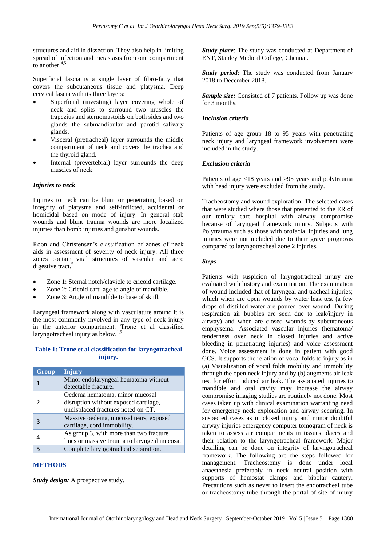structures and aid in dissection. They also help in limiting spread of infection and metastasis from one compartment to another. $4,5$ 

Superficial fascia is a single layer of fibro-fatty that covers the subcutaneous tissue and platysma. Deep cervical fascia with its three layers:

- Superficial (investing) layer covering whole of neck and splits to surround two muscles the trapezius and sternomastoids on both sides and two glands the submandibular and parotid salivary glands.
- Visceral (pretracheal) layer surrounds the middle compartment of neck and covers the trachea and the thyroid gland.
- Internal (prevertebral) layer surrounds the deep muscles of neck.

#### *Injuries to neck*

Injuries to neck can be blunt or penetrating based on integrity of platysma and self-inflicted, accidental or homicidal based on mode of injury. In general stab wounds and blunt trauma wounds are more localized injuries than bomb injuries and gunshot wounds.

Roon and Christensen's classification of zones of neck aids in assessment of severity of neck injury. All three zones contain vital structures of vascular and aero digestive tract.<sup>5</sup>

- Zone 1: Sternal notch/clavicle to cricoid cartilage.
- Zone 2: Cricoid cartilage to angle of mandible.
- Zone 3: Angle of mandible to base of skull.

Laryngeal framework along with vasculature around it is the most commonly involved in any type of neck injury in the anterior compartment. Trone et al classified laryngotracheal injury as below.<sup>1,5</sup>

#### **Table 1: Trone et al classification for laryngotracheal injury.**

| Group | <b>Injury</b>                                                                                                 |
|-------|---------------------------------------------------------------------------------------------------------------|
|       | Minor endolaryngeal hematoma without<br>detectable fracture.                                                  |
| 2     | Oedema hematoma, minor mucosal<br>disruption without exposed cartilage,<br>undisplaced fractures noted on CT. |
|       | Massive oedema, mucosal tears, exposed<br>cartilage, cord immobility.                                         |
|       | As group 3, with more than two fracture<br>lines or massive trauma to laryngeal mucosa.                       |
|       | Complete laryngotracheal separation.                                                                          |

#### **METHODS**

*Study design:* A prospective study.

*Study place*: The study was conducted at Department of ENT, Stanley Medical College, Chennai.

*Study period*: The study was conducted from January 2018 to December 2018.

*Sample size:* Consisted of 7 patients. Follow up was done for 3 months.

#### *Inclusion criteria*

Patients of age group 18 to 95 years with penetrating neck injury and laryngeal framework involvement were included in the study.

#### *Exclusion criteria*

Patients of age <18 years and >95 years and polytrauma with head injury were excluded from the study.

Tracheostomy and wound exploration. The selected cases that were studied where those that presented to the ER of our tertiary care hospital with airway compromise because of laryngeal framework injury. Subjects with Polytrauma such as those with orofacial injuries and lung injuries were not included due to their grave prognosis compared to laryngotracheal zone 2 injuries.

#### *Steps*

Patients with suspicion of laryngotracheal injury are evaluated with history and examination. The examination of wound included that of laryngeal and tracheal injuries; which when are open wounds by water leak test (a few drops of distilled water are poured over wound. During respiration air bubbles are seen due to leak/injury in airway) and when are closed wounds-by subcutaneous emphysema. Associated vascular injuries (hematoma/ tenderness over neck in closed injuries and active bleeding in penetrating injuries) and voice assessment done. Voice assessment is done in patient with good GCS. It supports the relation of vocal folds to injury as in (a) Visualization of vocal folds mobility and immobility through the open neck injury and by (b) augments air leak test for effort induced air leak. The associated injuries to mandible and oral cavity may increase the airway compromise imaging studies are routinely not done. Most cases taken up with clinical examination warranting need for emergency neck exploration and airway securing. In suspected cases as in closed injury and minor doubtful airway injuries emergency computer tomogram of neck is taken to assess air compartments in tissues places and their relation to the laryngotracheal framework. Major detailing can be done on integrity of laryngotracheal framework. The following are the steps followed for management. Tracheostomy is done under local anaesthesia preferably in neck neutral position with supports of hemostat clamps and bipolar cautery. Precautions such as never to insert the endotracheal tube or tracheostomy tube through the portal of site of injury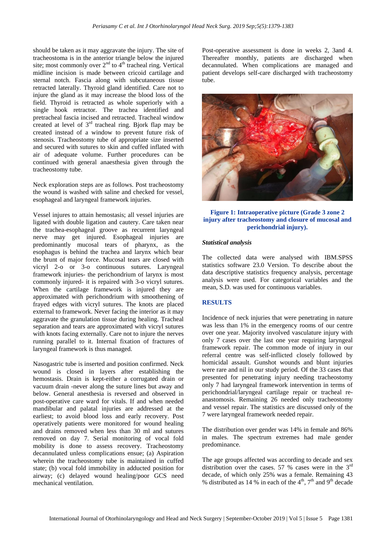should be taken as it may aggravate the injury. The site of tracheostoma is in the anterior triangle below the injured site; most commonly over  $2<sup>nd</sup>$  to  $4<sup>th</sup>$  tracheal ring. Vertical midline incision is made between cricoid cartilage and sternal notch. Fascia along with subcutaneous tissue retracted laterally. Thyroid gland identified. Care not to injure the gland as it may increase the blood loss of the field. Thyroid is retracted as whole superiorly with a single hook retractor. The trachea identified and pretracheal fascia incised and retracted. Tracheal window created at level of  $3<sup>rd</sup>$  tracheal ring. Bjork flap may be created instead of a window to prevent future risk of stenosis. Tracheostomy tube of appropriate size inserted and secured with sutures to skin and cuffed inflated with air of adequate volume. Further procedures can be continued with general anaesthesia given through the tracheostomy tube.

Neck exploration steps are as follows. Post tracheostomy the wound is washed with saline and checked for vessel, esophageal and laryngeal framework injuries.

Vessel injures to attain hemostasis; all vessel injuries are ligated with double ligation and cautery. Care taken near the trachea-esophageal groove as recurrent laryngeal nerve may get injured. Esophageal injuries are predominantly mucosal tears of pharynx, as the esophagus is behind the trachea and larynx which bear the brunt of major force. Mucosal tears are closed with vicryl 2-o or 3-o continuous sutures. Laryngeal framework injuries- the perichondrium of larynx is most commonly injured- it is repaired with 3-o vicryl sutures. When the cartilage framework is injured they are approximated with perichondrium with smoothening of frayed edges with vicryl sutures. The knots are placed external to framework. Never facing the interior as it may aggravate the granulation tissue during healing. Tracheal separation and tears are approximated with vicryl sutures with knots facing externally. Care not to injure the nerves running parallel to it. Internal fixation of fractures of laryngeal framework is thus managed.

Nasogastric tube is inserted and position confirmed. Neck wound is closed in layers after establishing the hemostasis. Drain is kept-either a corrugated drain or vacuum drain -never along the suture lines but away and below. General anesthesia is reversed and observed in post-operative care ward for vitals. If and when needed mandibular and palatal injuries are addressed at the earliest; to avoid blood loss and early recovery. Post operatively patients were monitored for wound healing and drains removed when less than 30 ml and sutures removed on day 7. Serial monitoring of vocal fold mobility is done to assess recovery. Tracheostomy decannulated unless complications ensue; (a) Aspiration wherein the tracheostomy tube is maintained in cuffed state; (b) vocal fold immobility in adducted position for airway; (c) delayed wound healing/poor GCS need mechanical ventilation.

Post-operative assessment is done in weeks 2, 3and 4. Thereafter monthly, patients are discharged when decannulated. When complications are managed and patient develops self-care discharged with tracheostomy tube.



#### **Figure 1: Intraoperative picture (Grade 3 zone 2 injury after tracheostomy and closure of mucosal and perichondrial injury).**

#### *Statistical analysis*

The collected data were analysed with IBM.SPSS statistics software 23.0 Version. To describe about the data descriptive statistics frequency analysis, percentage analysis were used. For categorical variables and the mean, S.D. was used for continuous variables.

#### **RESULTS**

Incidence of neck injuries that were penetrating in nature was less than 1% in the emergency rooms of our centre over one year. Majority involved vasculature injury with only 7 cases over the last one year requiring laryngeal framework repair. The common mode of injury in our referral centre was self-inflicted closely followed by homicidal assault. Gunshot wounds and blunt injuries were rare and nil in our study period. Of the 33 cases that presented for penetrating injury needing tracheostomy only 7 had laryngeal framework intervention in terms of perichondrial/laryngeal cartilage repair or tracheal reanastomosis. Remaining 26 needed only tracheostomy and vessel repair. The statistics are discussed only of the 7 were laryngeal framework needed repair.

The distribution over gender was 14% in female and 86% in males. The spectrum extremes had male gender predominance.

The age groups affected was according to decade and sex distribution over the cases. 57 % cases were in the 3<sup>rd</sup> decade, of which only 25% was a female. Remaining 43 % distributed as 14 % in each of the  $4<sup>th</sup>$ ,  $7<sup>th</sup>$  and  $9<sup>th</sup>$  decade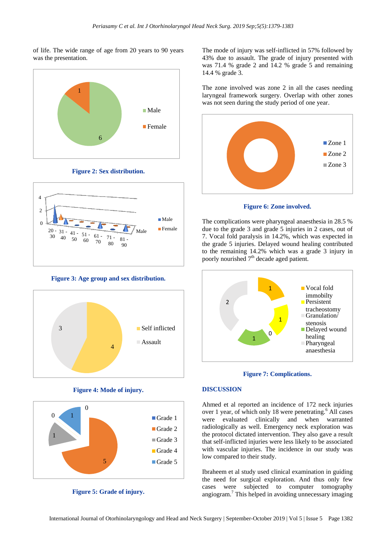of life. The wide range of age from 20 years to 90 years was the presentation.



**Figure 2: Sex distribution.**



**Figure 3: Age group and sex distribution.**



**Figure 4: Mode of injury.**



**Figure 5: Grade of injury.**

The mode of injury was self-inflicted in 57% followed by 43% due to assault. The grade of injury presented with was 71.4 % grade 2 and 14.2 % grade 5 and remaining 14.4 % grade 3.

The zone involved was zone 2 in all the cases needing laryngeal framework surgery. Overlap with other zones was not seen during the study period of one year.



**Figure 6: Zone involved.**

The complications were pharyngeal anaesthesia in 28.5 % due to the grade 3 and grade 5 injuries in 2 cases, out of 7. Vocal fold paralysis in 14.2%, which was expected in the grade 5 injuries. Delayed wound healing contributed to the remaining 14.2% which was a grade 3 injury in poorly nourished  $7<sup>th</sup>$  decade aged patient.





#### **DISCUSSION**

Ahmed et al reported an incidence of 172 neck injuries over 1 year, of which only 18 were penetrating.<sup>6</sup> All cases were evaluated clinically and when warranted radiologically as well. Emergency neck exploration was the protocol dictated intervention. They also gave a result that self-inflicted injuries were less likely to be associated with vascular injuries. The incidence in our study was low compared to their study.

Ibraheem et al study used clinical examination in guiding the need for surgical exploration. And thus only few cases were subjected to computer tomography angiogram.<sup>7</sup> This helped in avoiding unnecessary imaging